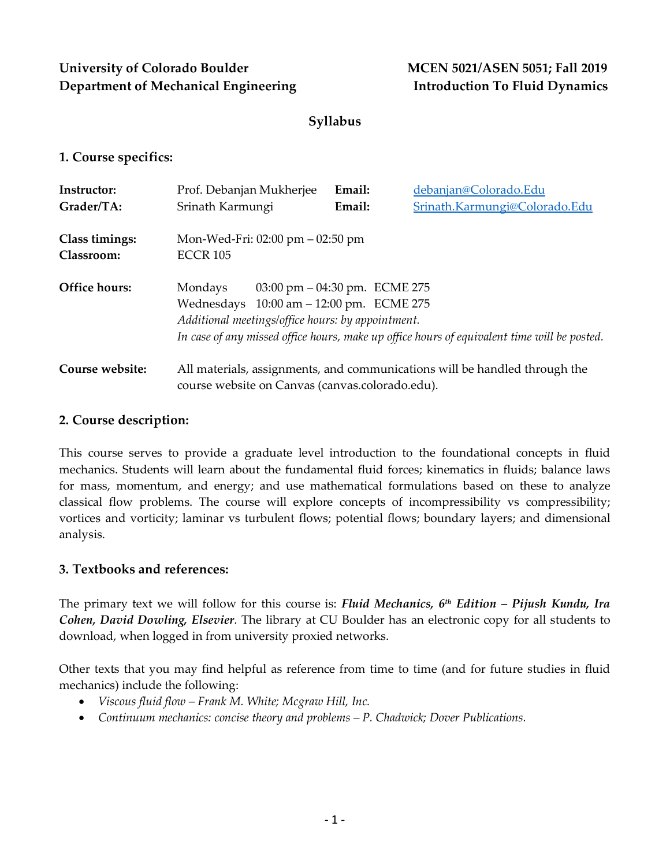# **University of Colorado Boulder MCEN 5021/ASEN 5051; Fall 2019 Department of Mechanical Engineering Introduction To Fluid Dynamics**

# **Syllabus**

## **1. Course specifics:**

| Instructor:                  | Prof. Debanjan Mukherjee                                                                                                                                                                                                                                    | Email: | debanjan@Colorado.Edu                                                      |  |  |
|------------------------------|-------------------------------------------------------------------------------------------------------------------------------------------------------------------------------------------------------------------------------------------------------------|--------|----------------------------------------------------------------------------|--|--|
| Grader/TA:                   | Srinath Karmungi                                                                                                                                                                                                                                            | Email: | Srinath.Karmungi@Colorado.Edu                                              |  |  |
| Class timings:<br>Classroom: | Mon-Wed-Fri: $02:00 \text{ pm} - 02:50 \text{ pm}$<br><b>ECCR 105</b>                                                                                                                                                                                       |        |                                                                            |  |  |
| Office hours:                | Mondays<br>$03:00 \text{ pm} - 04:30 \text{ pm}$ . ECME 275<br>Wednesdays 10:00 am - 12:00 pm. ECME 275<br>Additional meetings/office hours: by appointment.<br>In case of any missed office hours, make up office hours of equivalent time will be posted. |        |                                                                            |  |  |
| Course website:              | course website on Canvas (canvas.colorado.edu).                                                                                                                                                                                                             |        | All materials, assignments, and communications will be handled through the |  |  |

## **2. Course description:**

This course serves to provide a graduate level introduction to the foundational concepts in fluid mechanics. Students will learn about the fundamental fluid forces; kinematics in fluids; balance laws for mass, momentum, and energy; and use mathematical formulations based on these to analyze classical flow problems. The course will explore concepts of incompressibility vs compressibility; vortices and vorticity; laminar vs turbulent flows; potential flows; boundary layers; and dimensional analysis.

## **3. Textbooks and references:**

The primary text we will follow for this course is: *Fluid Mechanics, 6th Edition – Pijush Kundu, Ira Cohen, David Dowling, Elsevier*. The library at CU Boulder has an electronic copy for all students to download, when logged in from university proxied networks.

Other texts that you may find helpful as reference from time to time (and for future studies in fluid mechanics) include the following:

- *Viscous fluid flow – Frank M. White; Mcgraw Hill, Inc.*
- *Continuum mechanics: concise theory and problems – P. Chadwick; Dover Publications.*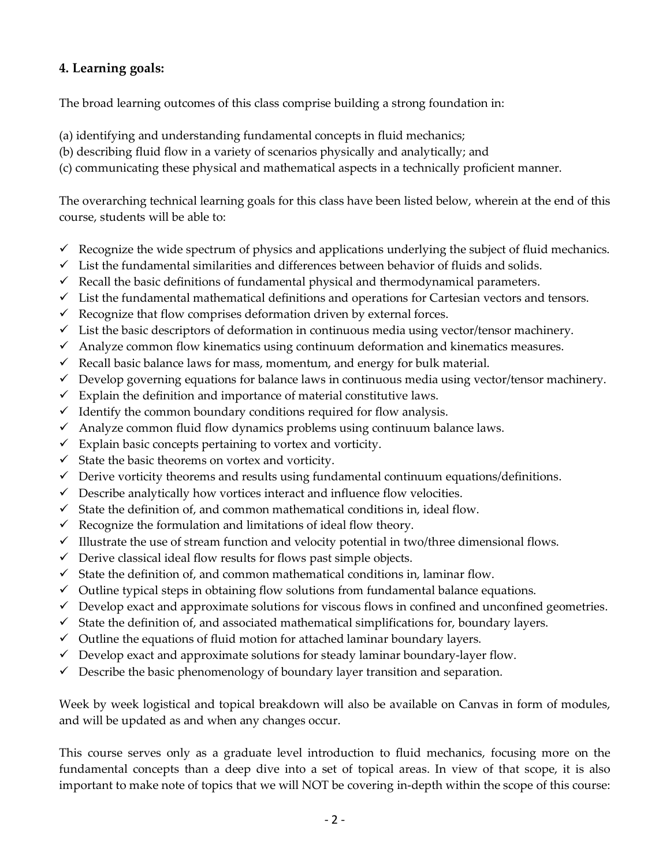# **4. Learning goals:**

The broad learning outcomes of this class comprise building a strong foundation in:

- (a) identifying and understanding fundamental concepts in fluid mechanics;
- (b) describing fluid flow in a variety of scenarios physically and analytically; and
- (c) communicating these physical and mathematical aspects in a technically proficient manner.

The overarching technical learning goals for this class have been listed below, wherein at the end of this course, students will be able to:

- $\checkmark$  Recognize the wide spectrum of physics and applications underlying the subject of fluid mechanics.
- $\checkmark$  List the fundamental similarities and differences between behavior of fluids and solids.
- $\checkmark$  Recall the basic definitions of fundamental physical and thermodynamical parameters.
- $\checkmark$  List the fundamental mathematical definitions and operations for Cartesian vectors and tensors.
- $\checkmark$  Recognize that flow comprises deformation driven by external forces.
- $\checkmark$  List the basic descriptors of deformation in continuous media using vector/tensor machinery.
- $\checkmark$  Analyze common flow kinematics using continuum deformation and kinematics measures.
- $\checkmark$  Recall basic balance laws for mass, momentum, and energy for bulk material.
- $\checkmark$  Develop governing equations for balance laws in continuous media using vector/tensor machinery.
- $\checkmark$  Explain the definition and importance of material constitutive laws.
- $\checkmark$  Identify the common boundary conditions required for flow analysis.
- $\checkmark$  Analyze common fluid flow dynamics problems using continuum balance laws.
- $\checkmark$  Explain basic concepts pertaining to vortex and vorticity.
- $\checkmark$  State the basic theorems on vortex and vorticity.
- $\checkmark$  Derive vorticity theorems and results using fundamental continuum equations/definitions.
- $\checkmark$  Describe analytically how vortices interact and influence flow velocities.
- $\checkmark$  State the definition of, and common mathematical conditions in, ideal flow.
- $\checkmark$  Recognize the formulation and limitations of ideal flow theory.
- $\checkmark$  Illustrate the use of stream function and velocity potential in two/three dimensional flows.
- $\checkmark$  Derive classical ideal flow results for flows past simple objects.
- $\checkmark$  State the definition of, and common mathematical conditions in, laminar flow.
- $\checkmark$  Outline typical steps in obtaining flow solutions from fundamental balance equations.
- $\checkmark$  Develop exact and approximate solutions for viscous flows in confined and unconfined geometries.
- $\checkmark$  State the definition of, and associated mathematical simplifications for, boundary layers.
- $\checkmark$  Outline the equations of fluid motion for attached laminar boundary layers.
- $\checkmark$  Develop exact and approximate solutions for steady laminar boundary-layer flow.
- $\checkmark$  Describe the basic phenomenology of boundary layer transition and separation.

Week by week logistical and topical breakdown will also be available on Canvas in form of modules, and will be updated as and when any changes occur.

This course serves only as a graduate level introduction to fluid mechanics, focusing more on the fundamental concepts than a deep dive into a set of topical areas. In view of that scope, it is also important to make note of topics that we will NOT be covering in-depth within the scope of this course: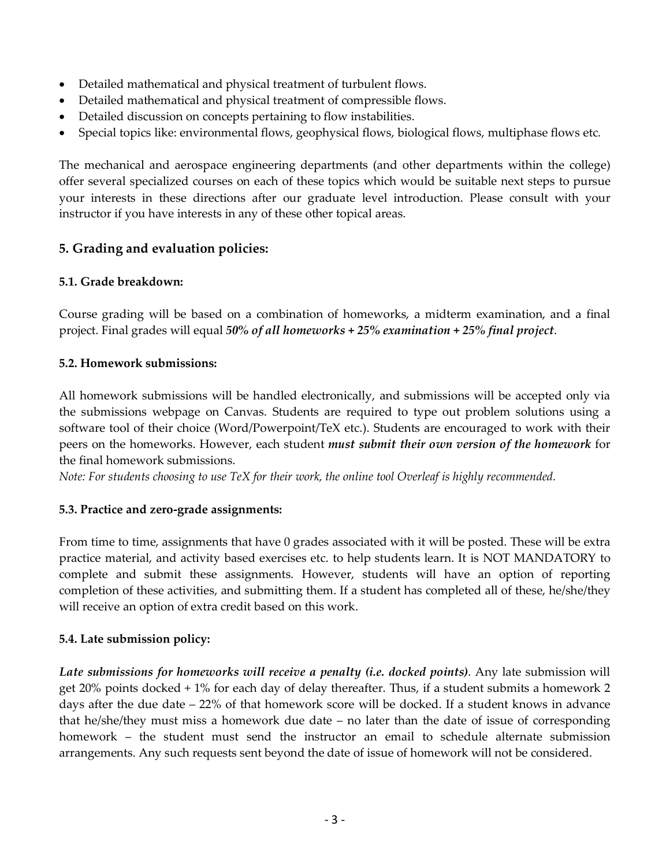- Detailed mathematical and physical treatment of turbulent flows.
- Detailed mathematical and physical treatment of compressible flows.
- Detailed discussion on concepts pertaining to flow instabilities.
- Special topics like: environmental flows, geophysical flows, biological flows, multiphase flows etc.

The mechanical and aerospace engineering departments (and other departments within the college) offer several specialized courses on each of these topics which would be suitable next steps to pursue your interests in these directions after our graduate level introduction. Please consult with your instructor if you have interests in any of these other topical areas.

# **5. Grading and evaluation policies:**

### **5.1. Grade breakdown:**

Course grading will be based on a combination of homeworks, a midterm examination, and a final project. Final grades will equal *50% of all homeworks + 25% examination + 25% final project*.

### **5.2. Homework submissions:**

All homework submissions will be handled electronically, and submissions will be accepted only via the submissions webpage on Canvas. Students are required to type out problem solutions using a software tool of their choice (Word/Powerpoint/TeX etc.). Students are encouraged to work with their peers on the homeworks. However, each student *must submit their own version of the homework* for the final homework submissions.

*Note: For students choosing to use TeX for their work, the online tool Overleaf is highly recommended.*

## **5.3. Practice and zero-grade assignments:**

From time to time, assignments that have 0 grades associated with it will be posted. These will be extra practice material, and activity based exercises etc. to help students learn. It is NOT MANDATORY to complete and submit these assignments. However, students will have an option of reporting completion of these activities, and submitting them. If a student has completed all of these, he/she/they will receive an option of extra credit based on this work.

## **5.4. Late submission policy:**

*Late submissions for homeworks will receive a penalty (i.e. docked points)*. Any late submission will get 20% points docked + 1% for each day of delay thereafter. Thus, if a student submits a homework 2 days after the due date – 22% of that homework score will be docked. If a student knows in advance that he/she/they must miss a homework due date – no later than the date of issue of corresponding homework – the student must send the instructor an email to schedule alternate submission arrangements. Any such requests sent beyond the date of issue of homework will not be considered.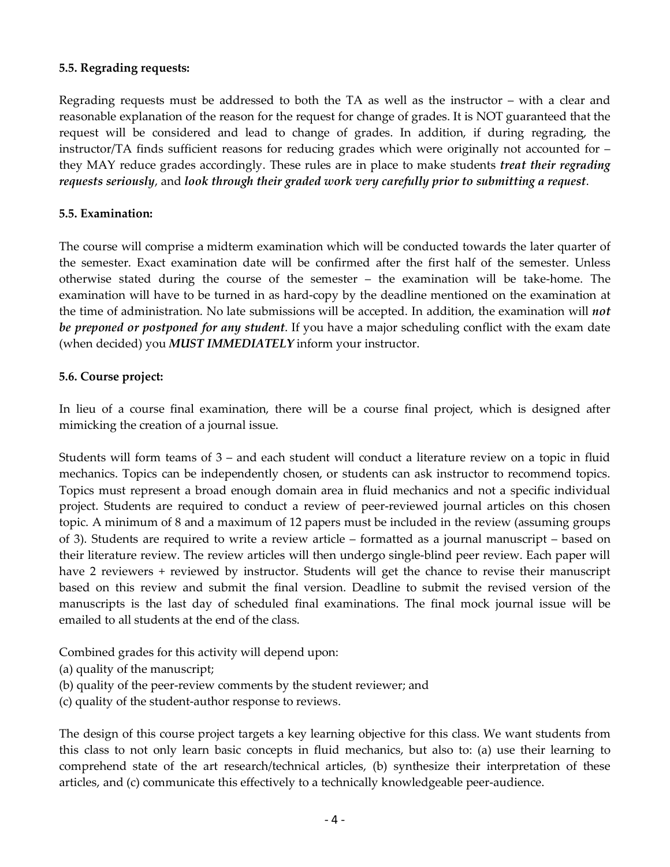#### **5.5. Regrading requests:**

Regrading requests must be addressed to both the TA as well as the instructor – with a clear and reasonable explanation of the reason for the request for change of grades. It is NOT guaranteed that the request will be considered and lead to change of grades. In addition, if during regrading, the instructor/TA finds sufficient reasons for reducing grades which were originally not accounted for – they MAY reduce grades accordingly. These rules are in place to make students *treat their regrading requests seriously*, and *look through their graded work very carefully prior to submitting a request*.

## **5.5. Examination:**

The course will comprise a midterm examination which will be conducted towards the later quarter of the semester. Exact examination date will be confirmed after the first half of the semester. Unless otherwise stated during the course of the semester – the examination will be take-home. The examination will have to be turned in as hard-copy by the deadline mentioned on the examination at the time of administration. No late submissions will be accepted. In addition, the examination will *not be preponed or postponed for any student*. If you have a major scheduling conflict with the exam date (when decided) you *MUST IMMEDIATELY* inform your instructor.

### **5.6. Course project:**

In lieu of a course final examination, there will be a course final project, which is designed after mimicking the creation of a journal issue.

Students will form teams of 3 – and each student will conduct a literature review on a topic in fluid mechanics. Topics can be independently chosen, or students can ask instructor to recommend topics. Topics must represent a broad enough domain area in fluid mechanics and not a specific individual project. Students are required to conduct a review of peer-reviewed journal articles on this chosen topic. A minimum of 8 and a maximum of 12 papers must be included in the review (assuming groups of 3). Students are required to write a review article – formatted as a journal manuscript – based on their literature review. The review articles will then undergo single-blind peer review. Each paper will have 2 reviewers + reviewed by instructor. Students will get the chance to revise their manuscript based on this review and submit the final version. Deadline to submit the revised version of the manuscripts is the last day of scheduled final examinations. The final mock journal issue will be emailed to all students at the end of the class.

Combined grades for this activity will depend upon:

- (a) quality of the manuscript;
- (b) quality of the peer-review comments by the student reviewer; and
- (c) quality of the student-author response to reviews.

The design of this course project targets a key learning objective for this class. We want students from this class to not only learn basic concepts in fluid mechanics, but also to: (a) use their learning to comprehend state of the art research/technical articles, (b) synthesize their interpretation of these articles, and (c) communicate this effectively to a technically knowledgeable peer-audience.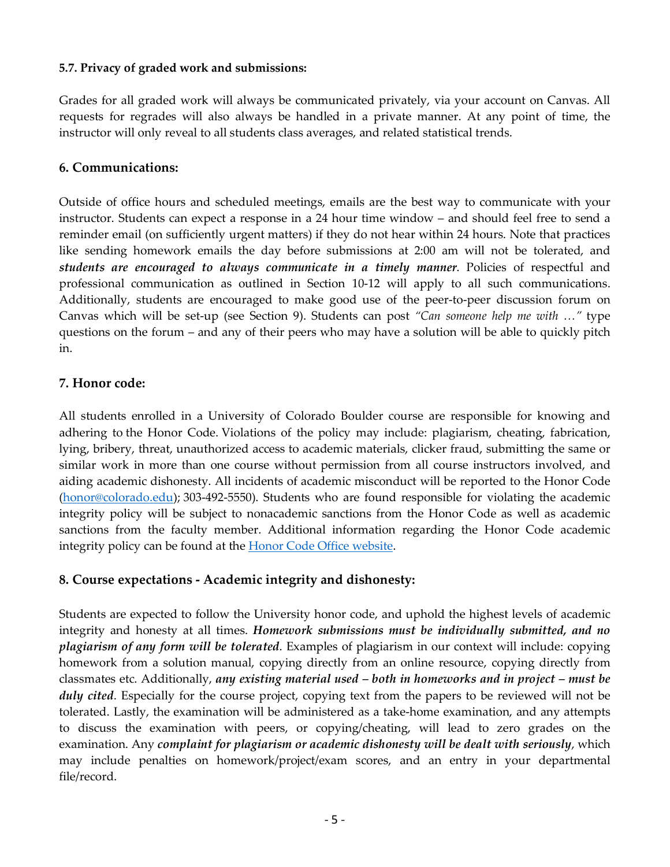### **5.7. Privacy of graded work and submissions:**

Grades for all graded work will always be communicated privately, via your account on Canvas. All requests for regrades will also always be handled in a private manner. At any point of time, the instructor will only reveal to all students class averages, and related statistical trends.

#### **6. Communications:**

Outside of office hours and scheduled meetings, emails are the best way to communicate with your instructor. Students can expect a response in a 24 hour time window – and should feel free to send a reminder email (on sufficiently urgent matters) if they do not hear within 24 hours. Note that practices like sending homework emails the day before submissions at 2:00 am will not be tolerated, and *students are encouraged to always communicate in a timely manner*. Policies of respectful and professional communication as outlined in Section 10-12 will apply to all such communications. Additionally, students are encouraged to make good use of the peer-to-peer discussion forum on Canvas which will be set-up (see Section 9). Students can post *"Can someone help me with …"* type questions on the forum – and any of their peers who may have a solution will be able to quickly pitch in.

### **7. Honor code:**

All students enrolled in a University of Colorado Boulder course are responsible for knowing and adhering to the Honor Code. Violations of the policy may include: plagiarism, cheating, fabrication, lying, bribery, threat, unauthorized access to academic materials, clicker fraud, submitting the same or similar work in more than one course without permission from all course instructors involved, and aiding academic dishonesty. All incidents of academic misconduct will be reported to the Honor Code (honor@colorado.edu); 303-492-5550). Students who are found responsible for violating the academic integrity policy will be subject to nonacademic sanctions from the Honor Code as well as academic sanctions from the faculty member. Additional information regarding the Honor Code academic integrity policy can be found at the **Honor Code Office website**.

## **8. Course expectations - Academic integrity and dishonesty:**

Students are expected to follow the University honor code, and uphold the highest levels of academic integrity and honesty at all times. *Homework submissions must be individually submitted, and no plagiarism of any form will be tolerated*. Examples of plagiarism in our context will include: copying homework from a solution manual, copying directly from an online resource, copying directly from classmates etc. Additionally, *any existing material used – both in homeworks and in project – must be duly cited*. Especially for the course project, copying text from the papers to be reviewed will not be tolerated. Lastly, the examination will be administered as a take-home examination, and any attempts to discuss the examination with peers, or copying/cheating, will lead to zero grades on the examination. Any *complaint for plagiarism or academic dishonesty will be dealt with seriously*, which may include penalties on homework/project/exam scores, and an entry in your departmental file/record.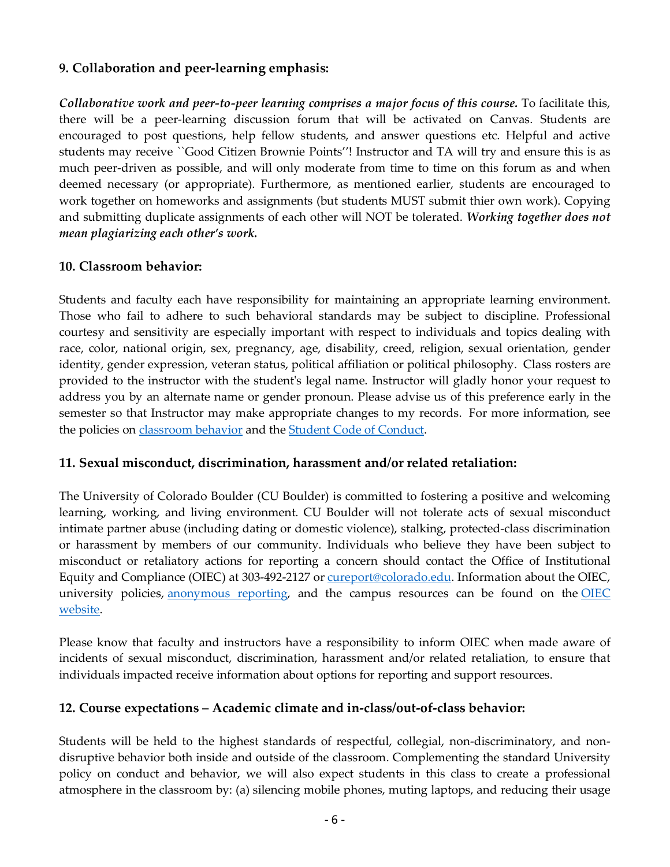# **9. Collaboration and peer-learning emphasis:**

*Collaborative work and peer-to-peer learning comprises a major focus of this course.* To facilitate this, there will be a peer-learning discussion forum that will be activated on Canvas. Students are encouraged to post questions, help fellow students, and answer questions etc. Helpful and active students may receive ``Good Citizen Brownie Points''! Instructor and TA will try and ensure this is as much peer-driven as possible, and will only moderate from time to time on this forum as and when deemed necessary (or appropriate). Furthermore, as mentioned earlier, students are encouraged to work together on homeworks and assignments (but students MUST submit thier own work). Copying and submitting duplicate assignments of each other will NOT be tolerated. *Working together does not mean plagiarizing each other's work.*

### **10. Classroom behavior:**

Students and faculty each have responsibility for maintaining an appropriate learning environment. Those who fail to adhere to such behavioral standards may be subject to discipline. Professional courtesy and sensitivity are especially important with respect to individuals and topics dealing with race, color, national origin, sex, pregnancy, age, disability, creed, religion, sexual orientation, gender identity, gender expression, veteran status, political affiliation or political philosophy. Class rosters are provided to the instructor with the student's legal name. Instructor will gladly honor your request to address you by an alternate name or gender pronoun. Please advise us of this preference early in the semester so that Instructor may make appropriate changes to my records. For more information, see the policies on classroom behavior and the Student Code of Conduct.

#### **11. Sexual misconduct, discrimination, harassment and/or related retaliation:**

The University of Colorado Boulder (CU Boulder) is committed to fostering a positive and welcoming learning, working, and living environment. CU Boulder will not tolerate acts of sexual misconduct intimate partner abuse (including dating or domestic violence), stalking, protected-class discrimination or harassment by members of our community. Individuals who believe they have been subject to misconduct or retaliatory actions for reporting a concern should contact the Office of Institutional Equity and Compliance (OIEC) at 303-492-2127 or cureport@colorado.edu. Information about the OIEC, university policies, anonymous reporting, and the campus resources can be found on the  $OIEC$ website.

Please know that faculty and instructors have a responsibility to inform OIEC when made aware of incidents of sexual misconduct, discrimination, harassment and/or related retaliation, to ensure that individuals impacted receive information about options for reporting and support resources.

## **12. Course expectations – Academic climate and in-class/out-of-class behavior:**

Students will be held to the highest standards of respectful, collegial, non-discriminatory, and nondisruptive behavior both inside and outside of the classroom. Complementing the standard University policy on conduct and behavior, we will also expect students in this class to create a professional atmosphere in the classroom by: (a) silencing mobile phones, muting laptops, and reducing their usage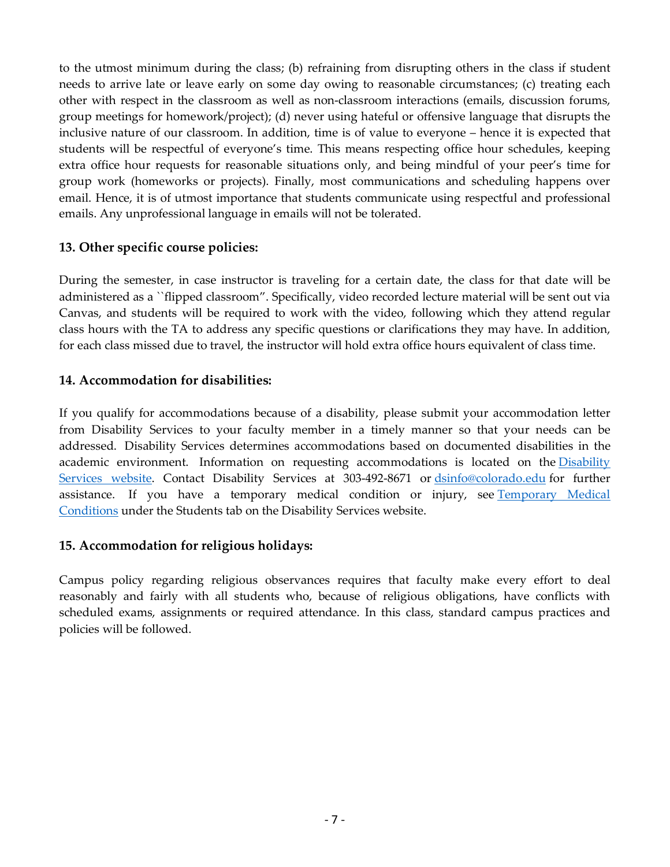to the utmost minimum during the class; (b) refraining from disrupting others in the class if student needs to arrive late or leave early on some day owing to reasonable circumstances; (c) treating each other with respect in the classroom as well as non-classroom interactions (emails, discussion forums, group meetings for homework/project); (d) never using hateful or offensive language that disrupts the inclusive nature of our classroom. In addition, time is of value to everyone – hence it is expected that students will be respectful of everyone's time. This means respecting office hour schedules, keeping extra office hour requests for reasonable situations only, and being mindful of your peer's time for group work (homeworks or projects). Finally, most communications and scheduling happens over email. Hence, it is of utmost importance that students communicate using respectful and professional emails. Any unprofessional language in emails will not be tolerated.

# **13. Other specific course policies:**

During the semester, in case instructor is traveling for a certain date, the class for that date will be administered as a ``flipped classroom". Specifically, video recorded lecture material will be sent out via Canvas, and students will be required to work with the video, following which they attend regular class hours with the TA to address any specific questions or clarifications they may have. In addition, for each class missed due to travel, the instructor will hold extra office hours equivalent of class time.

# **14. Accommodation for disabilities:**

If you qualify for accommodations because of a disability, please submit your accommodation letter from Disability Services to your faculty member in a timely manner so that your needs can be addressed. Disability Services determines accommodations based on documented disabilities in the academic environment. Information on requesting accommodations is located on the Disability Services website. Contact Disability Services at 303-492-8671 or dsinfo@colorado.edu for further assistance. If you have a temporary medical condition or injury, see Temporary Medical Conditions under the Students tab on the Disability Services website.

# **15. Accommodation for religious holidays:**

Campus policy regarding religious observances requires that faculty make every effort to deal reasonably and fairly with all students who, because of religious obligations, have conflicts with scheduled exams, assignments or required attendance. In this class, standard campus practices and policies will be followed.